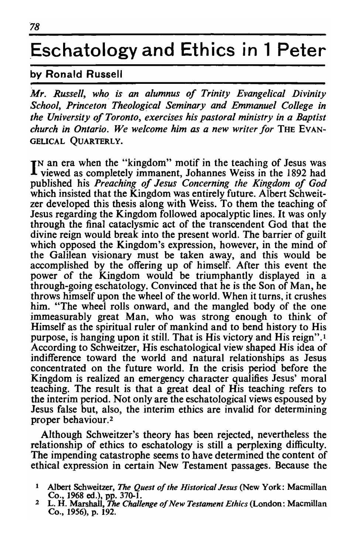## **.Eschatologyand Ethics in 1 Peter**

## by Ronald Russell

*Mr. Russell, who is an alumnus of Trinity Evangelical Divinity School, Princeton Theological Seminary and Emmanuel College in the University of Toronto, exercises his pastoral ministry in a Baptist church in Ontario. We welcome him as a new writer for* THE EVAN-GELICAL QUARTERLY.

IN an era when the "kingdom" motif in the teaching of Jesus was<br>I viewed as completely immanent Johannes Weiss in the 1892 had an cra when the "Kingdom" moth in the teaching of Jesus was<br>jewed as completely immanent. Johannes Weiss in the 1892 had published his *Preaching of Jesus Concerning the Kingdom of God*  which insisted that the Kingdom was entirely future. Albert Schweitzer developed this thesis along with Weiss. To them the teaching of Jesus regarding the Kingdom followed apocalyptic lines. It was only through the final cataclysmic act of the transcendent God that the divine reign would break into the present world. The barrier of guilt which opposed the Kingdom's expression, however, in the mind of the Galilean visionary must be taken away, and this would be accomplished by the offering up of himself. After this event the power of the Kingdom would be triumphantly displayed in a through-going eschatology. Convinced that he is the Son of Man, he throws himself upon the wheel of the world. When it turns, it crushes him. "The wheel rolls onward, and the mangled body of the one immeasurably great Man, who was strong enough to think of Himself as the spiritual ruler of mankind and to bend history to His purpose, is hanging upon it still. That is His victory and His reign".<sup>1</sup> According to Schweitzer, His eschatological view shaped His idea of indifference toward the world and natural relationships as Jesus concentrated on the future world. In the crisis period before the Kingdom is realized an emergency character qualifies Jesus' moral teaching. The result is that a great deal of His teaching refers to the interim period. Not only are the eschatological views espoused by Jesus false but, also, the interim ethics are invalid for determining proper behaviour.<sup>2</sup>

Although Schweitzer's theory has been rejected, nevertheless the relationship of ethics to eschatology is still a perplexing difficulty. The impending catastrophe seems to have determined the content of ethical expression in certain New Testament passages. Because the

<sup>1</sup> ! Albert Schweitzer, *The Quest of the Historical Jesus* (New York: Macmillan Co., 1968 ed.), pp. 370-1. 2 L. H. Marshall, *The Challenge of New Testament Ethics* (London: Macmillan

Co., 1956), p. 192.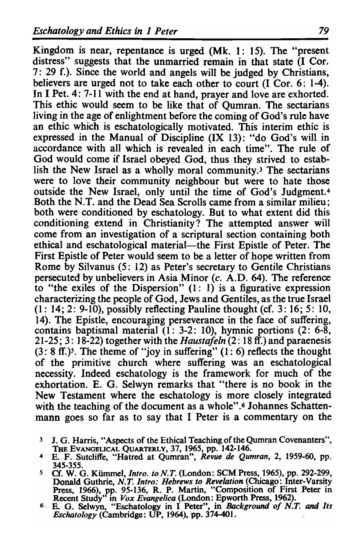Kingdom is near, repentance is urged (Mk. 1: 15). The "present distress" suggests that the unmarried remain in that state (I Cor. 7: 29 f.). Since the world and angels will be judged by Christians, believers are urged not to take each other to court (I Cor. 6: 1-4). In I Pet. 4: 7-11 with the end at hand, prayer and love are exhorted. This ethic would seem to be like that of Qumran. The sectarians living in the age of enlightment before the coming of God's rule have an ethic which is eschatologically motivated. This interim ethic is expressed in the Manual of Discipline (IX 13): "do God's will in accordance with all which is revealed in each time". The rule. of God would come if Israel obeyed God, thus they strived to establish the New Israel as a wholly moral community.3 The sectarians were to love their community neighbour but were to hate those outside the New Israel, only until the time of God's Judgment.4 Both the N.T. and the Dead Sea Scrolls came from a similar milieu; both were conditioned by eschatology. But to what extent did this conditioning extend in Christianity? The attempted answer will come from an investigation of a scriptural section containing both ethical and eschatological material—the First Epistle of Peter. The First Epistle of Peter would seem to be a letter of hope written from Rome by SiIvanus (5: 12) as Peter's secretary to Gentile Christians persecuted by unbelievers in Asia Minor  $(c, A.D. 64)$ . The reference to "the exiles of the Dispersion"  $(1: 1)$  is a figurative expression characterizing the people of God, Jews and Gentiles, as the true Israel  $(1: 14; 2: 9-10)$ , possibly reflecting Pauline thought (cf. 3: 16; 5: 10, 14). The Epistle, encouraging perseverance in the face of suffering, contains baptismal material (I: 3-2: 10), hymnic portions (2: 6-8, 21~25; 3: 18-22) together with the *Haustafeln* (2: 18 ff.) and paraenesis  $(3:8$  ff.)<sup>5</sup>. The theme of "joy in suffering"  $(1:6)$  reflects the thought of the primitive church where suffering was an eschatological necessity. Indeed eschatology is the framework for much of the exhortation. E. G. Selwyn remarks that "there is no book in the New Testament where the eschatology is more closely integrated with the teaching of the document as a whole".<sup>6</sup> Johannes Schattenmann goes so far as to say that I Peter is a commentary on the

- 3 J. G. Harris, "Aspects of the Ethical Teaching of the Qumran Covenanters",
- THE EVANGELICAL QUARTERLY, 37, 1965, pp. 142-146.<br> **THE EVANGELICAL QUARTERLY, 37, 1965, pp. 142-146.**<br> **4** E. F. Sutcliffe, "Hatred at Qumran", *Revile de Qumran*, 2, 1959-60, pp. 345-355.
- 345-355.<br>
5 Cf. W. G. Kümmel, *Intro. to N.T.* (London: SCM Press, 1965), pp. 292-299,<br>
Donald Guthrie, *N.T. Intro: Hebrews to Revelation* (Chicago: Inter-Varsity Press, 1966), pp. 95-136, R. P. Martin, "Composition of First Peter in
- Recent Study<sup>1</sup> in *Vox Evangelica* (London: Epworth Press, 1962).<br>
<sup>6</sup> E. G. Selwyn, "Eschatology in I Peter", in *Background of N.T. and Its Eschatology* (Cambridge: UP, 1964), pp. 374-401.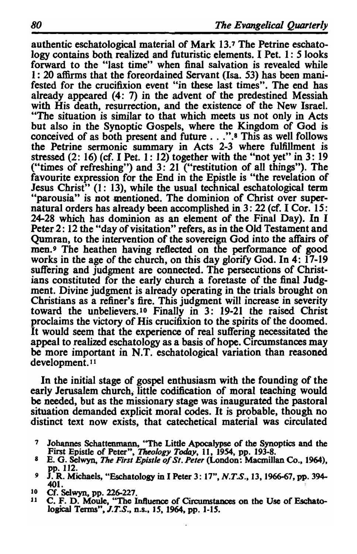authentic eschatological material of Mark 13.7 The Petrine eschatology contains both realized and futuristic elements. I Pet. 1: 5 looks forward to the "last time" when final salvation is revealed while 1: 20 affirms that the foreordained Servant (Isa. 53) has been manifested for the crucifixion event "in these last times". The end has already appeared (4: 7) in the advent of the predestined Messiah with His death, resurrection, and the existence of the New Israel. "The situation is similar to that which meets us not only in Acts but also in the Synoptic Gospels, where the Kingdom of God is conceived of as both present and future ... ".8 This as well follows conceived of as both present and future  $\dots$ . <sup>7</sup>.<sup>8</sup> This as well follows the Petrine sermonic summary in Acts 2-3 where fulfillment is stressed  $(2: 16)$  (cf. I Pet. 1: 12) together with the "not yet" in 3: 19 ("times of refreshing") and 3: 21 ("restitution of all things"). The favourite expression for the End in the Epistle is "the revelation of Jesus Christ<sup>3</sup> (1: 13), while the usual technical eschatological term "parousia" is not mentioned. The dominion of Christ over supernatural orders has already been accomplished in 3: 22 (cf. I Cor. 15: 24-28 which has dominion as an element of the Final Day). In I Peter 2: 12 the "day of visitation" refers, as in the Old Testament and Qumran, to the intervention of the sovereign God into the affairs of men.<sup>9</sup> The heathen having reflected on the performance of good works in the age of the church, on this day glorify God. In 4: 17-19 suffering and judgment are connected. The persecutions of Christians constituted for the early church a foretaste of the final Judgment. Divine judgment is already operating in the trials brought on Christians as a refiner's fire. This judgment will increase in severity toward the unbelievers. lo Finally in 3: 19-21 the raised Christ proclaims the victory of His crucifixion to the spirits of the doomed. It would seem that the experience of real suffering necessitated the appeal to realized eschatology as a basis of hope. Circumstances may ppear to realized eschatology as a basis of hope. Circumstances may<br>a more important in N.T. eschatological variation than reasoned

If the initial stage of gospel enthusiasm with the founding of the In the mittal stage of gosper enthusiasm with the founding of the<br>intuition about the codification of moral teaching would early Jerusalem church, little codification of moral teaching would be needed, but as the missionary stage was inaugurated the pastoral situation demanded explicit moral codes. It is probable, though no distinct text now exists, that catechetical material was circulated

- 7 Johannes Schattenmann, ''The Little Apocalypse of the Synoptics and the 7 Johannes Schattenmann, "The Little Apocalypse of the Synoptics and the<br>First Epistle of Peter", *Theology Today*, 11, 1954, pp. 193-8.<br>Co. Selwyn, *The Einst Epistle of St. Peter* (London: Macmillan Co., 1964),
- *E.* G. Selwyn, *I he First Epistie of St. Feter* (London: Macmillan Co., 1964),<br>pp. 112.<br>**I. R. Michaels, "Eschatology in I Peter 3: 17", N.T.S., 13, 1966-67, pp. 394-**
- 401. to Michaels, "Eschatology in 1 Peter 3: 17",  $N.1$  ..., 13, 1966-67, pp. 394-401.<br>Cf. Selwyn, pp. 226-227.<br>Cf. Selwyn, pp. 226-227.
- 
- C. F. D. Moule, "The Influence of Circumstances on the Use of Eschatological Terms", J.T.S., n.s., 15, 1964, pp. 1-15.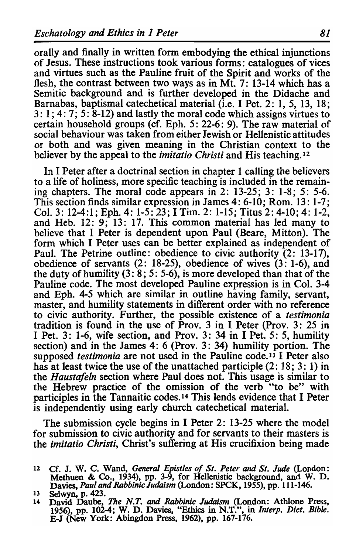orally and finally in written form embodying the ethical injunctions of Jesus. These instructions took various forms: catalogues of vices and virtues such as the Pauline fruit of the Spirit and works of the flesh, the contrast between two ways as in Mt. 7: 13-14 which has a Semitic background and is further developed in the Didache and Barnabas, baptismal catechetical material (i.e. I Pet. 2: 1, 5, 13, 18; 3: 1; 4: 7; 5: 8-12) and lastly the moral code which assigns virtues to certain household groups (cf. Eph. 5: 22-6: 9). The raw material of social behaviour was taken from either Jewish or Hellenistic attitudes or both and was given meaning in the Christian context to the believer by the appeal to the *imitatio Christi* and His teaching. 12

In I Peter after a doctrinal section in chapter 1 calling the believers to a life of holiness, more specific teaching is included in the remaining chapters. The moral code appears in  $2: 13-25$ ;  $3: 1-8$ ;  $5: 5-6$ . This section finds similar expression in James 4: 6-10; Rom. 13: 1-7; Col. 3: 12-4:1; Eph. 4: 1-5:  $23$ ; I Tim. 2: 1-15; Titus 2: 4-10; 4: 1-2, and Heb. 12: 9; 13: 17. This common material has led many to believe that I Peter is dependent upon Paul (Beare, Mitton). The form which I Peter uses can be better explained as independent of Paul. The Petrine outline: obedience to civic authority (2: 13-17), obedience of servants (2: 18-25), obedience of wives (3: 1-6), and the duty of humility  $(3: 8: 5: 5: 6)$ , is more developed than that of the Pauline code. The most developed Pauline expression is in Col. 3-4 and Eph. 4-5 which are similar in outline having family, servant, master, and humility statements in different order with no reference to civic authority. Further, the possible existence of a *testimonia*  tradition is found in the use of Prov. 3 in I Peter (Prov. 3: 25 in I Pet. 3: 1-6, wife section, and Prov. 3: 34 in I Pet. 5: 5, humility section) and in the James 4: 6 (Prov. 3: 34) humility portion. The supposed *testimonia* are not used in the Pauline code. 13 I Peter also has at least twice the use of the unattached participle (2: 18; 3: 1) in the *Haustafeln* section where Paul does not. This usage is similar to the Hebrew practice of the omission of the verb "to be" with participles in the Tannaitic codes. 14 This lends evidence that I Peter is independently using early church catechetical material.

The submission cycle begins in I Peter 2: 13-25 where the model for submission to civic authority and for servants to their masters is the *imitatio Christi,* Christ's suffering at His crucifixion being made

<sup>12</sup> Cf. J. W. C. Wand, *General Epistles of St. Peter* and *St. Jude* (London: Methuen & Co., 1934), pp. 3-9, for Hellenistic background, and W. D.

Davies, Paul and Rabbinic Judaism (London: SPCK, 1955), pp. 111-146.<br>
13 Selwyn, p. 423.<br>
14 David Daube, *The N.T. and Rabbinic Judaism* (London: Athlone Press, 1956), pp. 102-4; W. D. Davies, "Ethics in N.T.", in *Interp* B-J (New York: Abingdon Press, 1962), pp. 167-176.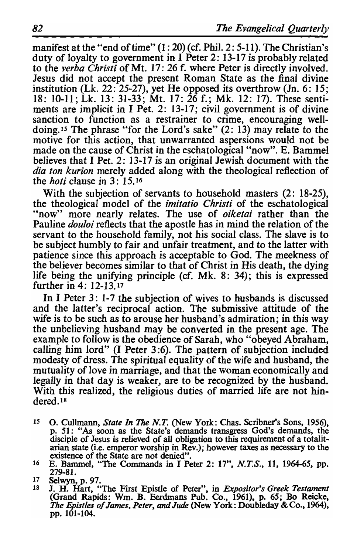manifest at the "end of time" (1: 20) (cf. Phil. 2: 5-11). The Christian's duty of loyalty to government in  $\tilde{I}$  Peter 2: 13-17 is probably related to the *verba Christi* of Mt. 17: 26 f. where Peter is directly involved. Jesus did not accept the present Roman State as the final divine institution (Lk. 22: 25-27), yet He opposed its overthrow (In. 6: 15; 18: 10-11; Lk. 13: 31-33; Mt. 17: 26 f.; Mk. 12: 17). These sentiments are implicit in I Pet. 2: 13-17; civil government is of divine sanction to function as a restrainer to crime, encouraging welldoing. *IS* The phrase "for the Lord's sake" (2: 13) may relate to the motive for this action, that unwarranted aspersions would not be made on the cause of Christ in the eschatological "now". E. Bammel believes that I Pet. 2: 13-17 is an original Jewish document with the *dia ton kurion* merely added along with the theological reflection of the *hoti* clause in 3: 15. <sup>16</sup>

With the subjection of servants to household masters (2: 18-25), the theological model of the *imitatio Christi* of the eschatological "now" more nearly relates. The use of *oiketai* rather than the Pauline *douloi* reflects that the apostle has in mind the relation of the servant to the household family, not his social class. The slave is to be subject humbly to fair and unfair treatment, and to the latter with patience since this approach is acceptable to God. The meekness of the believer becomes similar to that of Christ in His death, the dying life being the unifying principle (cf. Mk. 8: 34); this is expressed further in 4: 12-13.17

In I Peter 3: 1-7 the subjection of wives to husbands is discussed and the latter's reciprocal action. The submissive attitude of the wife is to be such as to arouse her husband's admiration; in this way the unbelieving husband may be converted in the present age. The example to follow is the obedience of Sarah, who "obeyed Abraham, campic to follow is the obedience of sarafi, who sobeyed Abraham,<br>Subjection included (I Peter 3.6). The pattern of subjection included modesty of dress. The spiritual equality of the wife and husband, the spiritual equality of the wife and husband, the mutuality of love in marriage, and that the woman economically and legally in that day is weaker, are to be recognized by the husband. gally in that day is weaker, are to be recognized by the husband.<br>lith this realized, the religious duties of married life are not hindered. 18<br>18

- *IS* O. Cullmann, *State In The N.T.* (New York: Chas. Scribner's Sons, 1956), p. 51: "As soon as the State's demands transgress God's demands, the 15 p. 51: "As soon as the State's demands transgress God's demands, the disciple of Jesus is relieved of all obligation to this requirement of a totalitexistence of the State are not denied".<br>
16 E. Bammel, "The Commands in I Peter 2: 17", *N.T.S.*, 11, 1964-65, pp.
- E. Bammel, "The Commands in I Peter 2: 17", N.T.S., 11, 1964-65, pp. 279-81.

279-81.<br>Selwyn, p. 97.<br>J. H. Hart, "The First Epistle of Peter", in *Expositor's Greek Testament Trand Rapids: Wm. B. Eerdmans Pub. Co., 1961), p. 65; Bo Reicke, p. 1964), Predenge Politics of James, Peter, and Jude* (New York: Doubleday & Co., 1964),

<sup>17</sup>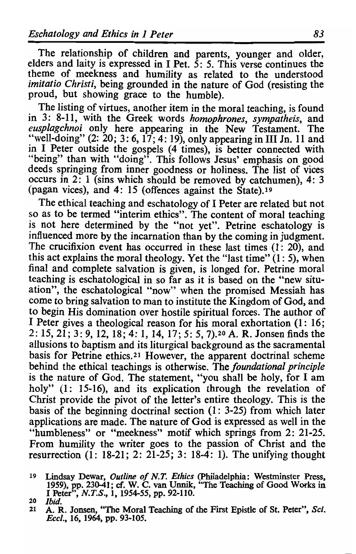The relationship of children and parents, younger and older, elders and laity is expressed in I Pet.  $5: 5$ . This verse continues the theme of meekness and humility as related to the understood *imitatio Christi,* being grounded in the nature of God (resisting the proud, but showing grace to the humble).

The listing of virtues, another item in the moral teaching, is found in 3: 8-11, with the Greek words *homophrones, sympatheis,* and *eusplagchnoi* only here appearing in the New Testament. The "well-doing" (2: 20; 3: 6, 17; 4: 19), only appearing in **III** In. 11 and in I Peter outside the gospels (4 times), is better connected with "being" than with "doing". This follows Jesus' emphasis on good deeds springing from inner goodness or holiness. The list of vices occurs in 2: 1 (sins which should be removed by catchumen), 4: 3 (pagan vices), and 4: 15 (offences against the State).19

The ethical teaching and eschatology of I Peter are related but not so as to be termed "interim ethics". The content of moral teaching is not here determined by the "not yet". Petrine eschatology is influenced more by the incarnation than by the coming in judgment. The crucifixion event has occurred in these last times (1: 20), and this act explains the moral theology. Yet the "last time"  $(1: 5)$ , when final and complete salvation is given, is longed for. Petrine moral teaching is eschatological in so far as it is based on the "new situation", the eschatological "now" when the promised Messiah has come to bring salvation to man to institute the Kingdom of God, and to begin His domination over hostile spiritual forces. The author of I Peter gives a theological reason for his moral exhortation (1: 16; 2: 15, 2 $\overline{1}$ ; 3: 9, 12, 18; 4: 1, 14, 17; 5: 5, 7).<sup>20</sup> A. R. Jonsen finds the allusions to baptism and its liturgical background as the sacramental basis for Petrine ethics. 21 However, the apparent doctrinal scheme behind the ethical teachings is otherwise. The *foundational principle*  is the nature of God. The statement, "you shall be holy, for I am holy" (1: 15-16), and its explication through the revelation of Christ provide the pivot of the letter's entire theology. This is the basis of the beginning doctrinal section (1: 3-25) from which later applications are made. The nature of God is expressed as well in the "humbleness" or "meekness" motif which springs from 2: 21-25. From humility the writer goes to the passion of Christ and the resurrection  $(1: 18-21: 2: 21-25: 3: 18-4: 1)$ . The unifying thought

<sup>19</sup> Lindsay Dewar, *Outline of N.T. Ethics* (philadelphia: Westminster Press, 1959), pp. 230-41; cf. W. C. van Unnik, "The Teaching of Good Works in I Peter", *N.T.S.,* 1, 1954-55, pp. 92-110. *20 Ibid.* 

<sup>21</sup> A. R. Jonsen, "The Moral Teaching of the First Epistle of St. Peter", *Sci. £eel.,* 16, 1964, pp. 93-105.